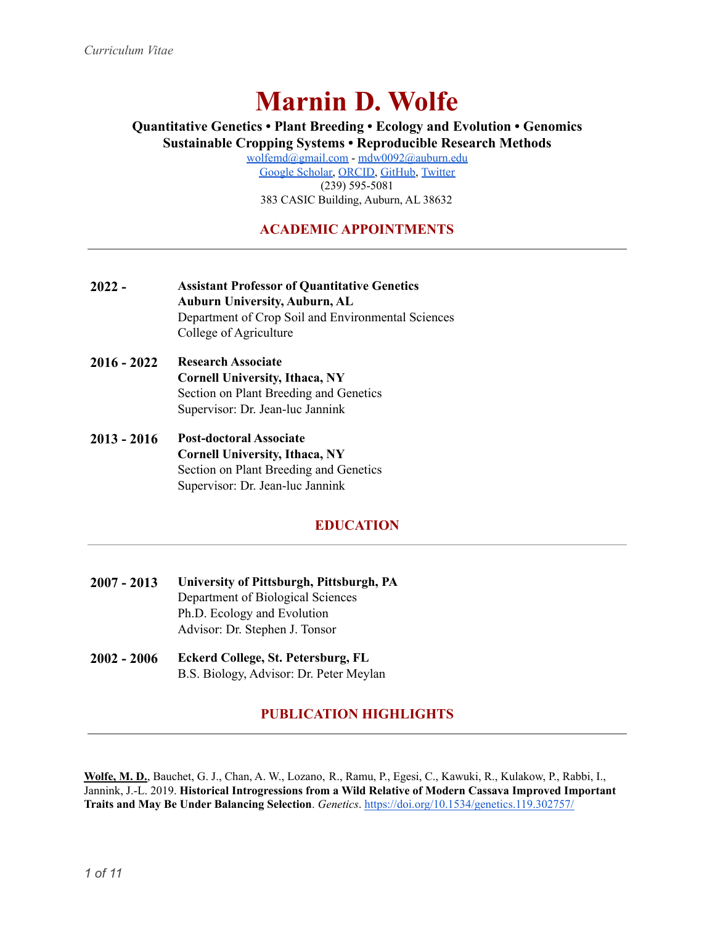# **Marnin D. Wolfe**

### **Quantitative Genetics • Plant Breeding • Ecology and Evolution • Genomics Sustainable Cropping Systems • Reproducible Research Methods**

[wolfemd@gmail.com](mailto:wolfemd@gmail.com) - [mdw0092@auburn.edu](mailto:mdw0092@auburn.edu) Google [Scholar,](https://scholar.google.com/citations?user=jfdW8SkAAAAJ&hl=en&oi=ao) [ORCID,](https://orcid.org/0000-0002-5929-5785) [GitHub,](https://github.com/wolfemd) [Twitter](https://twitter.com/wolfemd) (239) 595-5081 383 CASIC Building, Auburn, AL 38632

### **ACADEMIC APPOINTMENTS**

- **2022 - Assistant Professor of Quantitative Genetics Auburn University, Auburn, AL** Department of Crop Soil and Environmental Sciences College of Agriculture
- **2016 2022 Research Associate Cornell University, Ithaca, NY** Section on Plant Breeding and Genetics Supervisor: Dr. Jean-luc Jannink
- **2013 2016 Post-doctoral Associate Cornell University, Ithaca, NY** Section on Plant Breeding and Genetics Supervisor: Dr. Jean-luc Jannink

#### **EDUCATION**

- **2007 2013 University of Pittsburgh, Pittsburgh, PA** Department of Biological Sciences Ph.D. Ecology and Evolution Advisor: Dr. Stephen J. Tonsor
- **2002 2006 Eckerd College, St. Petersburg, FL** B.S. Biology, Advisor: Dr. Peter Meylan

### **PUBLICATION HIGHLIGHTS**

**Wolfe, M. D.**, Bauchet, G. J., Chan, A. W., Lozano, R., Ramu, P., Egesi, C., Kawuki, R., Kulakow, P., Rabbi, I., Jannink, J.-L. 2019. **Historical Introgressions from a Wild Relative of Modern Cassava Improved Important Traits and May Be Under Balancing Selection**. *Genetics*. [https://doi.org/10.1534/genetics.119.302757/](https://doi.org/10.1534/genetics.119.302757)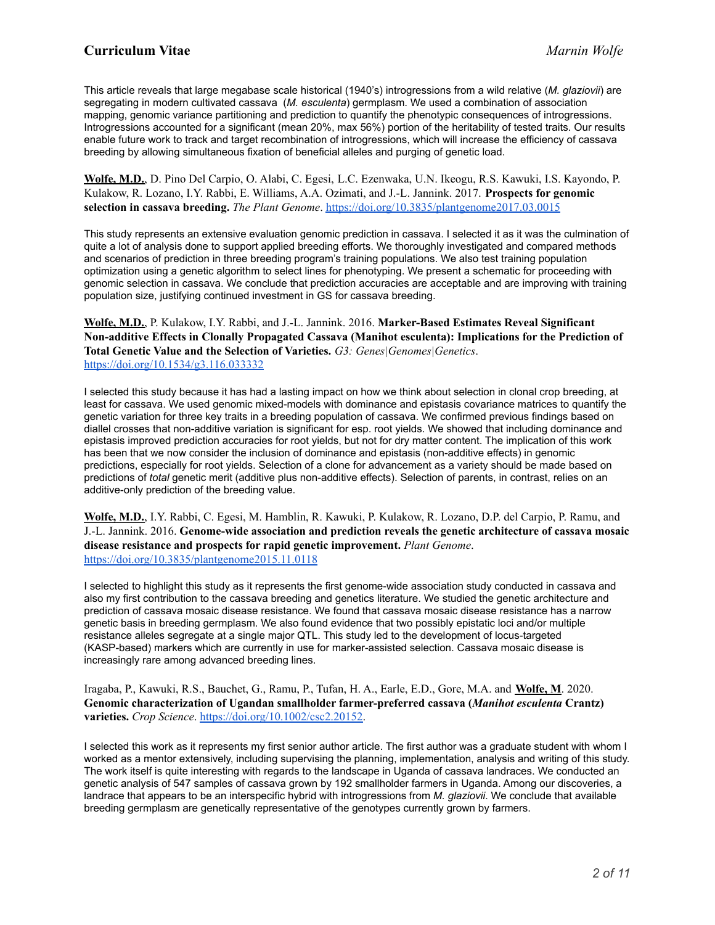This article reveals that large megabase scale historical (1940's) introgressions from a wild relative (*M. glaziovii*) are segregating in modern cultivated cassava (*M. esculenta*) germplasm. We used a combination of association mapping, genomic variance partitioning and prediction to quantify the phenotypic consequences of introgressions. Introgressions accounted for a significant (mean 20%, max 56%) portion of the heritability of tested traits. Our results enable future work to track and target recombination of introgressions, which will increase the efficiency of cassava breeding by allowing simultaneous fixation of beneficial alleles and purging of genetic load.

**Wolfe, M.D.**, D. Pino Del Carpio, O. Alabi, C. Egesi, L.C. Ezenwaka, U.N. Ikeogu, R.S. Kawuki, I.S. Kayondo, P. Kulakow, R. Lozano, I.Y. Rabbi, E. Williams, A.A. Ozimati, and J.-L. Jannink. 2017. **Prospects for genomic selection in cassava breeding.** *The Plant Genome*. <https://doi.org/10.3835/plantgenome2017.03.0015>

This study represents an extensive evaluation genomic prediction in cassava. I selected it as it was the culmination of quite a lot of analysis done to support applied breeding efforts. We thoroughly investigated and compared methods and scenarios of prediction in three breeding program's training populations. We also test training population optimization using a genetic algorithm to select lines for phenotyping. We present a schematic for proceeding with genomic selection in cassava. We conclude that prediction accuracies are acceptable and are improving with training population size, justifying continued investment in GS for cassava breeding.

**Wolfe, M.D.**, P. Kulakow, I.Y. Rabbi, and J.-L. Jannink. 2016. **Marker-Based Estimates Reveal Significant Non-additive Effects in Clonally Propagated Cassava (Manihot esculenta): Implications for the Prediction of Total Genetic Value and the Selection of Varieties.** *G3: Genes|Genomes|Genetics*. <https://doi.org/10.1534/g3.116.033332>

I selected this study because it has had a lasting impact on how we think about selection in clonal crop breeding, at least for cassava. We used genomic mixed-models with dominance and epistasis covariance matrices to quantify the genetic variation for three key traits in a breeding population of cassava. We confirmed previous findings based on diallel crosses that non-additive variation is significant for esp. root yields. We showed that including dominance and epistasis improved prediction accuracies for root yields, but not for dry matter content. The implication of this work has been that we now consider the inclusion of dominance and epistasis (non-additive effects) in genomic predictions, especially for root yields. Selection of a clone for advancement as a variety should be made based on predictions of *total* genetic merit (additive plus non-additive effects). Selection of parents, in contrast, relies on an additive-only prediction of the breeding value.

**Wolfe, M.D.**, I.Y. Rabbi, C. Egesi, M. Hamblin, R. Kawuki, P. Kulakow, R. Lozano, D.P. del Carpio, P. Ramu, and J.-L. Jannink. 2016. **Genome-wide association and prediction reveals the genetic architecture of cassava mosaic disease resistance and prospects for rapid genetic improvement.** *Plant Genome*. <https://doi.org/10.3835/plantgenome2015.11.0118>

I selected to highlight this study as it represents the first genome-wide association study conducted in cassava and also my first contribution to the cassava breeding and genetics literature. We studied the genetic architecture and prediction of cassava mosaic disease resistance. We found that cassava mosaic disease resistance has a narrow genetic basis in breeding germplasm. We also found evidence that two possibly epistatic loci and/or multiple resistance alleles segregate at a single major QTL. This study led to the development of locus-targeted (KASP-based) markers which are currently in use for marker-assisted selection. Cassava mosaic disease is increasingly rare among advanced breeding lines.

Iragaba, P., Kawuki, R.S., Bauchet, G., Ramu, P., Tufan, H. A., Earle, E.D., Gore, M.A. and **Wolfe, M**. 2020. **Genomic characterization of Ugandan smallholder farmer-preferred cassava (***Manihot esculenta* **Crantz) varieties.** *Crop Science*. [https://doi.org/10.1002/csc2.20152.](https://doi.org/10.1002/csc2.20152)

I selected this work as it represents my first senior author article. The first author was a graduate student with whom I worked as a mentor extensively, including supervising the planning, implementation, analysis and writing of this study. The work itself is quite interesting with regards to the landscape in Uganda of cassava landraces. We conducted an genetic analysis of 547 samples of cassava grown by 192 smallholder farmers in Uganda. Among our discoveries, a landrace that appears to be an interspecific hybrid with introgressions from *M. glaziovii*. We conclude that available breeding germplasm are genetically representative of the genotypes currently grown by farmers.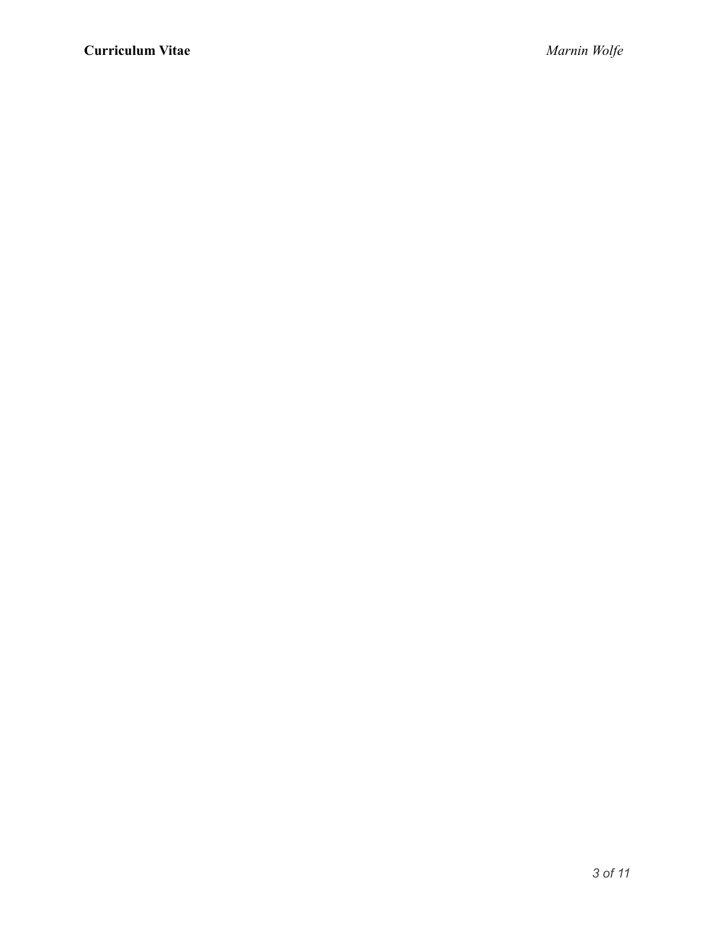# **Curriculum Vitae** *Marnin Wolfe*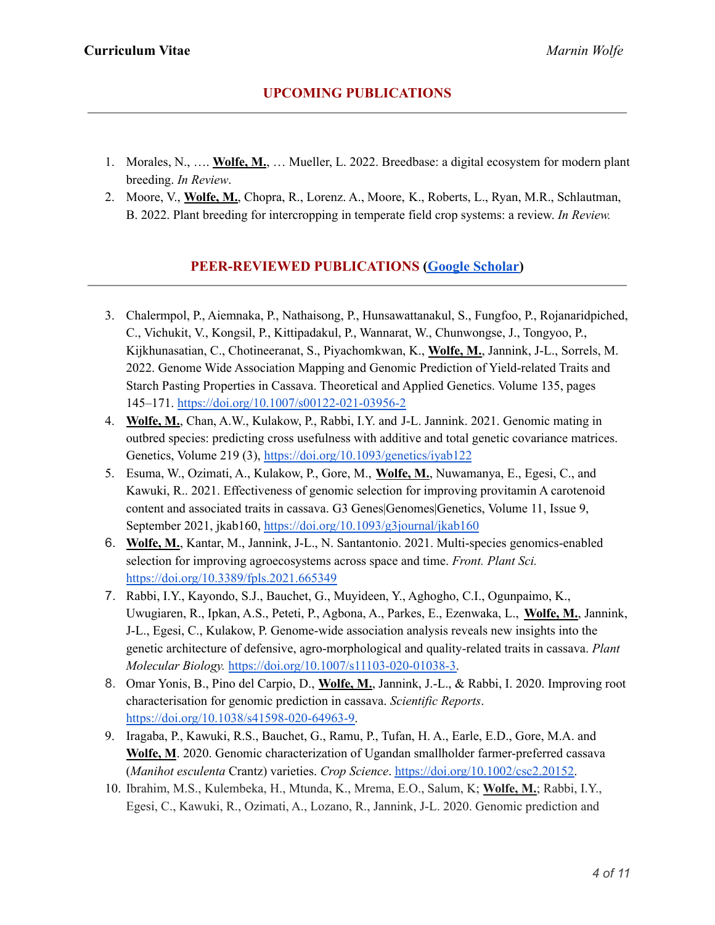# **UPCOMING PUBLICATIONS**

- 1. Morales, N., …. **Wolfe, M.**, … Mueller, L. 2022. Breedbase: a digital ecosystem for modern plant breeding. *In Review*.
- 2. Moore, V., **Wolfe, M.**, Chopra, R., Lorenz. A., Moore, K., Roberts, L., Ryan, M.R., Schlautman, B. 2022. Plant breeding for intercropping in temperate field crop systems: a review. *In Review.*

### **PEER-REVIEWED PUBLICATIONS [\(Google Scholar\)](https://scholar.google.com/citations?hl=en&user=jfdW8SkAAAAJ&view_op=list_works)**

- 3. Chalermpol, P., Aiemnaka, P., Nathaisong, P., Hunsawattanakul, S., Fungfoo, P., Rojanaridpiched, C., Vichukit, V., Kongsil, P., Kittipadakul, P., Wannarat, W., Chunwongse, J., Tongyoo, P., Kijkhunasatian, C., Chotineeranat, S., Piyachomkwan, K., **Wolfe, M.**, Jannink, J-L., Sorrels, M. 2022. Genome Wide Association Mapping and Genomic Prediction of Yield-related Traits and Starch Pasting Properties in Cassava. Theoretical and Applied Genetics. Volume 135, pages 145–171. <https://doi.org/10.1007/s00122-021-03956-2>
- 4. **Wolfe, M.**, Chan, A.W., Kulakow, P., Rabbi, I.Y. and J-L. Jannink. 2021. Genomic mating in outbred species: predicting cross usefulness with additive and total genetic covariance matrices. Genetics, Volume 219 (3), <https://doi.org/10.1093/genetics/iyab122>
- 5. Esuma, W., Ozimati, A., Kulakow, P., Gore, M., **Wolfe, M.**, Nuwamanya, E., Egesi, C., and Kawuki, R.. 2021. Effectiveness of genomic selection for improving provitamin A carotenoid content and associated traits in cassava. G3 Genes|Genomes|Genetics, Volume 11, Issue 9, September 2021, jkab160, <https://doi.org/10.1093/g3journal/jkab160>
- 6. **Wolfe, M.**, Kantar, M., Jannink, J-L., N. Santantonio. 2021. Multi-species genomics-enabled selection for improving agroecosystems across space and time. *Front. Plant Sci.* <https://doi.org/10.3389/fpls.2021.665349>
- 7. Rabbi, I.Y., Kayondo, S.J., Bauchet, G., Muyideen, Y., Aghogho, C.I., Ogunpaimo, K., Uwugiaren, R., Ipkan, A.S., Peteti, P., Agbona, A., Parkes, E., Ezenwaka, L., **Wolfe, M.**, Jannink, J-L., Egesi, C., Kulakow, P. Genome-wide association analysis reveals new insights into the genetic architecture of defensive, agro-morphological and quality-related traits in cassava. *Plant Molecular Biology.* [https://doi.org/10.1007/s11103-020-01038-3.](https://doi.org/10.1007/s11103-020-01038-3)
- 8. Omar Yonis, B., Pino del Carpio, D., **Wolfe, M.**, Jannink, J.-L., & Rabbi, I. 2020. Improving root characterisation for genomic prediction in cassava. *Scientific Reports*. [https://doi.org/10.1038/s41598-020-64963-9.](https://doi.org/10.1038/s41598-020-64963-9)
- 9. Iragaba, P., Kawuki, R.S., Bauchet, G., Ramu, P., Tufan, H. A., Earle, E.D., Gore, M.A. and **Wolfe, M**. 2020. Genomic characterization of Ugandan smallholder farmer-preferred cassava (*Manihot esculenta* Crantz) varieties. *Crop Science*. [https://doi.org/10.1002/csc2.20152.](https://doi.org/10.1002/csc2.20152)
- 10. Ibrahim, M.S., Kulembeka, H., Mtunda, K., Mrema, E.O., Salum, K; **Wolfe, M.**; Rabbi, I.Y., Egesi, C., Kawuki, R., Ozimati, A., Lozano, R., Jannink, J-L. 2020. Genomic prediction and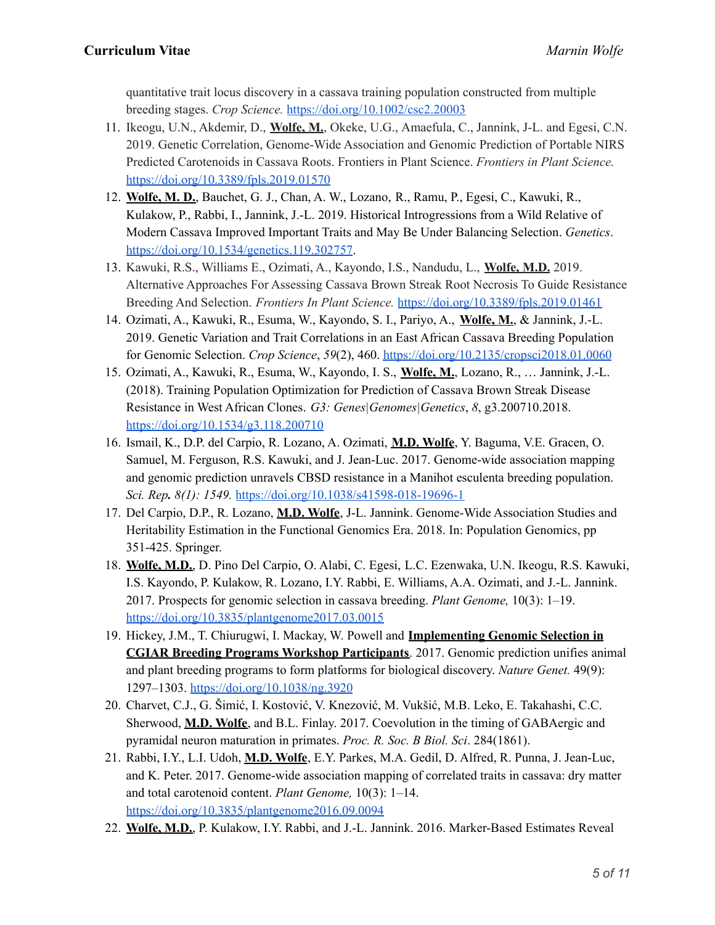quantitative trait locus discovery in a cassava training population constructed from multiple breeding stages. *Crop Science.* <https://doi.org/10.1002/csc2.20003>

- 11. Ikeogu, U.N., Akdemir, D., **Wolfe, M.**, Okeke, U.G., Amaefula, C., Jannink, J-L. and Egesi, C.N. 2019. Genetic Correlation, Genome-Wide Association and Genomic Prediction of Portable NIRS Predicted Carotenoids in Cassava Roots. Frontiers in Plant Science. *Frontiers in Plant Science.* <https://doi.org/10.3389/fpls.2019.01570>
- 12. **Wolfe, M. D.**, Bauchet, G. J., Chan, A. W., Lozano, R., Ramu, P., Egesi, C., Kawuki, R., Kulakow, P., Rabbi, I., Jannink, J.-L. 2019. Historical Introgressions from a Wild Relative of Modern Cassava Improved Important Traits and May Be Under Balancing Selection. *Genetics*. https://doi.org/10.1534/genetics.119.302757.
- 13. Kawuki, R.S., Williams E., Ozimati, A., Kayondo, I.S., Nandudu, L., **Wolfe, M.D.** 2019. Alternative Approaches For Assessing Cassava Brown Streak Root Necrosis To Guide Resistance Breeding And Selection. *Frontiers In Plant Science.* <https://doi.org/10.3389/fpls.2019.01461>
- 14. Ozimati, A., Kawuki, R., Esuma, W., Kayondo, S. I., Pariyo, A., **Wolfe, M.**, & Jannink, J.-L. 2019. Genetic Variation and Trait Correlations in an East African Cassava Breeding Population for Genomic Selection. *Crop Science*, *59*(2), 460. <https://doi.org/10.2135/cropsci2018.01.0060>
- 15. Ozimati, A., Kawuki, R., Esuma, W., Kayondo, I. S., **Wolfe, M.**, Lozano, R., … Jannink, J.-L. (2018). Training Population Optimization for Prediction of Cassava Brown Streak Disease Resistance in West African Clones. *G3: Genes|Genomes|Genetics*, *8*, g3.200710.2018. <https://doi.org/10.1534/g3.118.200710>
- 16. Ismail, K., D.P. del Carpio, R. Lozano, A. Ozimati, **M.D. Wolfe**, Y. Baguma, V.E. Gracen, O. Samuel, M. Ferguson, R.S. Kawuki, and J. Jean-Luc. 2017. Genome-wide association mapping and genomic prediction unravels CBSD resistance in a Manihot esculenta breeding population. *Sci. Rep. 8(1): 1549.* <https://doi.org/10.1038/s41598-018-19696-1>
- 17. Del Carpio, D.P., R. Lozano, **M.D. Wolfe**, J-L. Jannink. Genome-Wide Association Studies and Heritability Estimation in the Functional Genomics Era. 2018. In: Population Genomics, pp 351-425. Springer.
- 18. **Wolfe, M.D.**, D. Pino Del Carpio, O. Alabi, C. Egesi, L.C. Ezenwaka, U.N. Ikeogu, R.S. Kawuki, I.S. Kayondo, P. Kulakow, R. Lozano, I.Y. Rabbi, E. Williams, A.A. Ozimati, and J.-L. Jannink. 2017. Prospects for genomic selection in cassava breeding. *Plant Genome,* 10(3): 1–19. <https://doi.org/10.3835/plantgenome2017.03.0015>
- 19. Hickey, J.M., T. Chiurugwi, I. Mackay, W. Powell and **[Implementing](https://www.nature.com/ng/journal/v49/n9/full/ng.3920.html#group-1) Genomic Selection in CGIAR Breeding Programs Workshop [Participants](https://www.nature.com/ng/journal/v49/n9/full/ng.3920.html#group-1)**. 2017. Genomic prediction unifies animal and plant breeding programs to form platforms for biological discovery. *Nature Genet.* 49(9): 1297–1303. <https://doi.org/10.1038/ng.3920>
- 20. Charvet, C.J., G. Šimić, I. Kostović, V. Knezović, M. Vukšić, M.B. Leko, E. Takahashi, C.C. Sherwood, **M.D. Wolfe**, and B.L. Finlay. 2017. Coevolution in the timing of GABAergic and pyramidal neuron maturation in primates. *Proc. R. Soc. B Biol. Sci*. 284(1861).
- 21. Rabbi, I.Y., L.I. Udoh, **M.D. Wolfe**, E.Y. Parkes, M.A. Gedil, D. Alfred, R. Punna, J. Jean-Luc, and K. Peter. 2017. Genome-wide association mapping of correlated traits in cassava: dry matter and total carotenoid content. *Plant Genome,* 10(3): 1–14. <https://doi.org/10.3835/plantgenome2016.09.0094>
- 22. **Wolfe, M.D.**, P. Kulakow, I.Y. Rabbi, and J.-L. Jannink. 2016. Marker-Based Estimates Reveal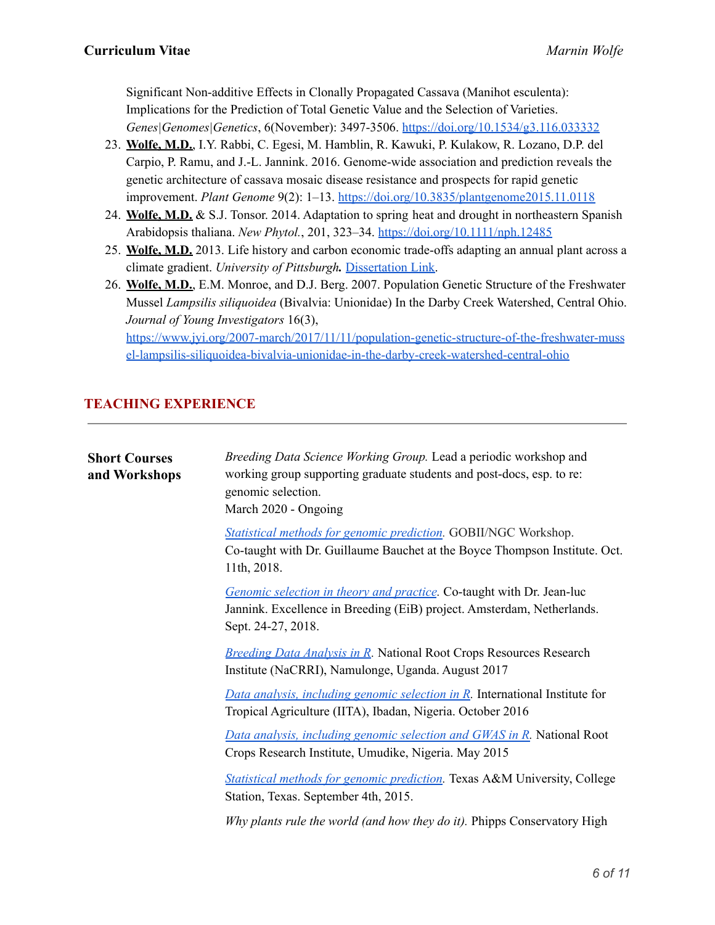Significant Non-additive Effects in Clonally Propagated Cassava (Manihot esculenta): Implications for the Prediction of Total Genetic Value and the Selection of Varieties. *Genes|Genomes|Genetics*, 6(November): 3497-3506. <https://doi.org/10.1534/g3.116.033332>

- 23. **Wolfe, M.D.**, I.Y. Rabbi, C. Egesi, M. Hamblin, R. Kawuki, P. Kulakow, R. Lozano, D.P. del Carpio, P. Ramu, and J.-L. Jannink. 2016. Genome-wide association and prediction reveals the genetic architecture of cassava mosaic disease resistance and prospects for rapid genetic improvement. *Plant Genome* 9(2): 1–13. <https://doi.org/10.3835/plantgenome2015.11.0118>
- 24. **Wolfe, M.D.** & S.J. Tonsor. 2014. Adaptation to spring heat and drought in northeastern Spanish Arabidopsis thaliana. *New Phytol.*, 201, 323–34. <https://doi.org/10.1111/nph.12485>
- 25. **Wolfe, M.D.** 2013. Life history and carbon economic trade-offs adapting an annual plant across a climate gradient. *University of Pittsburgh.* [Dissertation](http://d-scholarship.pitt.edu/19787/7/Wolfe_ETD_2013_V3.pdf) Link.
- 26. **Wolfe, M.D.**, E.M. Monroe, and D.J. Berg. 2007. Population Genetic Structure of the Freshwater Mussel *Lampsilis siliquoidea* (Bivalvia: Unionidae) In the Darby Creek Watershed, Central Ohio. *Journal of Young Investigators* 16(3),

[https://www.jyi.org/2007-march/2017/11/11/population-genetic-structure-of-the-freshwater-muss](https://www.jyi.org/2007-march/2017/11/11/population-genetic-structure-of-the-freshwater-mussel-lampsilis-siliquoidea-bivalvia-unionidae-in-the-darby-creek-watershed-central-ohio) [el-lampsilis-siliquoidea-bivalvia-unionidae-in-the-darby-creek-watershed-central-ohio](https://www.jyi.org/2007-march/2017/11/11/population-genetic-structure-of-the-freshwater-mussel-lampsilis-siliquoidea-bivalvia-unionidae-in-the-darby-creek-watershed-central-ohio)

# **TEACHING EXPERIENCE**

| <b>Short Courses</b><br>and Workshops | Breeding Data Science Working Group. Lead a periodic workshop and<br>working group supporting graduate students and post-docs, esp. to re:<br>genomic selection.<br>March 2020 - Ongoing |
|---------------------------------------|------------------------------------------------------------------------------------------------------------------------------------------------------------------------------------------|
|                                       | Statistical methods for genomic prediction. GOBII/NGC Workshop.<br>Co-taught with Dr. Guillaume Bauchet at the Boyce Thompson Institute. Oct.<br>11th, 2018.                             |
|                                       | Genomic selection in theory and practice. Co-taught with Dr. Jean-luc<br>Jannink. Excellence in Breeding (EiB) project. Amsterdam, Netherlands.<br>Sept. 24-27, 2018.                    |
|                                       | <b>Breeding Data Analysis in R.</b> National Root Crops Resources Research<br>Institute (NaCRRI), Namulonge, Uganda. August 2017                                                         |
|                                       | Data analysis, including genomic selection in R. International Institute for<br>Tropical Agriculture (IITA), Ibadan, Nigeria. October 2016                                               |
|                                       | Data analysis, including genomic selection and GWAS in R. National Root<br>Crops Research Institute, Umudike, Nigeria. May 2015                                                          |
|                                       | Statistical methods for genomic prediction. Texas A&M University, College<br>Station, Texas. September 4th, 2015.                                                                        |
|                                       | Why plants rule the world (and how they do it). Phipps Conservatory High                                                                                                                 |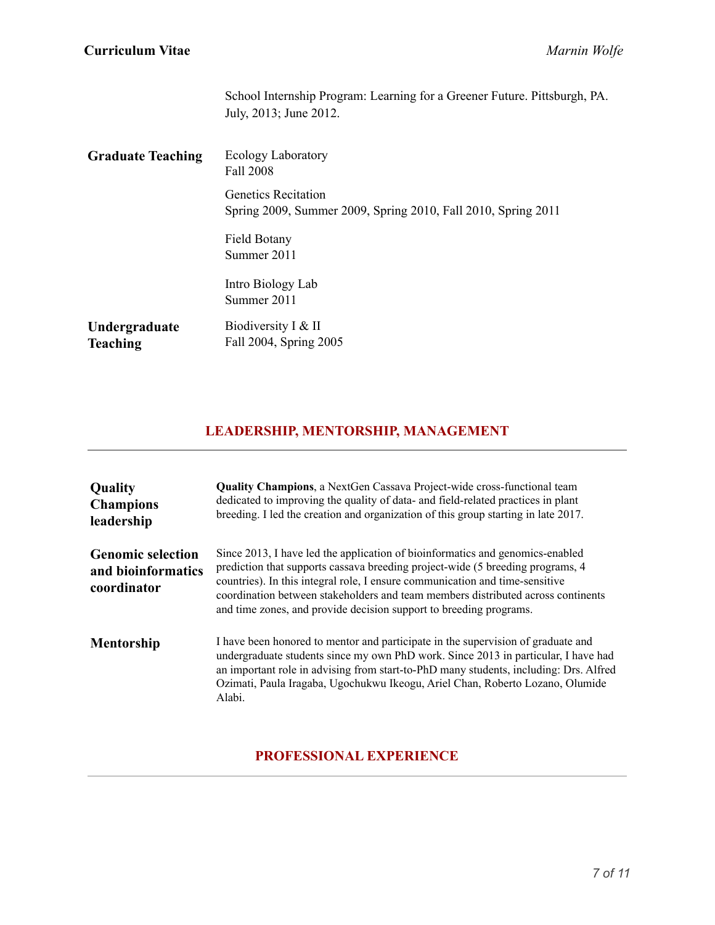School Internship Program: Learning for a Greener Future. Pittsburgh, PA. July, 2013; June 2012.

| <b>Graduate Teaching</b>         | Ecology Laboratory<br><b>Fall 2008</b>                                                      |
|----------------------------------|---------------------------------------------------------------------------------------------|
|                                  | <b>Genetics Recitation</b><br>Spring 2009, Summer 2009, Spring 2010, Fall 2010, Spring 2011 |
|                                  | Field Botany<br>Summer 2011                                                                 |
|                                  | Intro Biology Lab<br>Summer 2011                                                            |
| Undergraduate<br><b>Teaching</b> | Biodiversity I & II<br>Fall 2004, Spring 2005                                               |

# **LEADERSHIP, MENTORSHIP, MANAGEMENT**

| Quality<br><b>Champions</b><br>leadership                     | <b>Quality Champions, a NextGen Cassava Project-wide cross-functional team</b><br>dedicated to improving the quality of data- and field-related practices in plant<br>breeding. I led the creation and organization of this group starting in late 2017.                                                                                                                                                  |
|---------------------------------------------------------------|-----------------------------------------------------------------------------------------------------------------------------------------------------------------------------------------------------------------------------------------------------------------------------------------------------------------------------------------------------------------------------------------------------------|
| <b>Genomic selection</b><br>and bioinformatics<br>coordinator | Since 2013, I have led the application of bioinformatics and genomics-enabled<br>prediction that supports cassava breeding project-wide (5 breeding programs, 4<br>countries). In this integral role, I ensure communication and time-sensitive<br>coordination between stakeholders and team members distributed across continents<br>and time zones, and provide decision support to breeding programs. |
| <b>Mentorship</b>                                             | I have been honored to mentor and participate in the supervision of graduate and<br>undergraduate students since my own PhD work. Since 2013 in particular, I have had<br>an important role in advising from start-to-PhD many students, including: Drs. Alfred<br>Ozimati, Paula Iragaba, Ugochukwu Ikeogu, Ariel Chan, Roberto Lozano, Olumide<br>Alabi.                                                |

**PROFESSIONAL EXPERIENCE**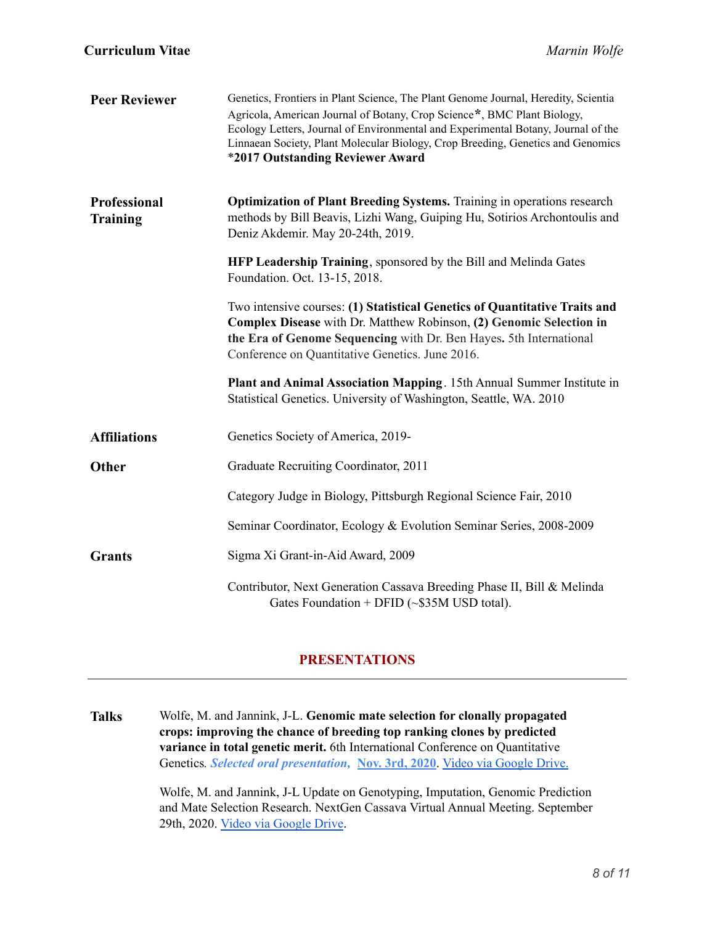| <b>Peer Reviewer</b>                   | Genetics, Frontiers in Plant Science, The Plant Genome Journal, Heredity, Scientia<br>Agricola, American Journal of Botany, Crop Science*, BMC Plant Biology,<br>Ecology Letters, Journal of Environmental and Experimental Botany, Journal of the<br>Linnaean Society, Plant Molecular Biology, Crop Breeding, Genetics and Genomics<br>*2017 Outstanding Reviewer Award |
|----------------------------------------|---------------------------------------------------------------------------------------------------------------------------------------------------------------------------------------------------------------------------------------------------------------------------------------------------------------------------------------------------------------------------|
| <b>Professional</b><br><b>Training</b> | <b>Optimization of Plant Breeding Systems.</b> Training in operations research<br>methods by Bill Beavis, Lizhi Wang, Guiping Hu, Sotirios Archontoulis and<br>Deniz Akdemir. May 20-24th, 2019.                                                                                                                                                                          |
|                                        | HFP Leadership Training, sponsored by the Bill and Melinda Gates<br>Foundation. Oct. 13-15, 2018.                                                                                                                                                                                                                                                                         |
|                                        | Two intensive courses: (1) Statistical Genetics of Quantitative Traits and<br><b>Complex Disease</b> with Dr. Matthew Robinson, (2) Genomic Selection in<br>the Era of Genome Sequencing with Dr. Ben Hayes. 5th International<br>Conference on Quantitative Genetics. June 2016.                                                                                         |
|                                        | Plant and Animal Association Mapping. 15th Annual Summer Institute in<br>Statistical Genetics. University of Washington, Seattle, WA. 2010                                                                                                                                                                                                                                |
| <b>Affiliations</b>                    | Genetics Society of America, 2019-                                                                                                                                                                                                                                                                                                                                        |
| <b>Other</b>                           | Graduate Recruiting Coordinator, 2011                                                                                                                                                                                                                                                                                                                                     |
|                                        | Category Judge in Biology, Pittsburgh Regional Science Fair, 2010                                                                                                                                                                                                                                                                                                         |
|                                        | Seminar Coordinator, Ecology & Evolution Seminar Series, 2008-2009                                                                                                                                                                                                                                                                                                        |
| <b>Grants</b>                          | Sigma Xi Grant-in-Aid Award, 2009                                                                                                                                                                                                                                                                                                                                         |
|                                        | Contributor, Next Generation Cassava Breeding Phase II, Bill & Melinda<br>Gates Foundation + DFID $(\sim$ \$35M USD total).                                                                                                                                                                                                                                               |

#### **PRESENTATIONS**

**Talks** Wolfe, M. and Jannink, J-L. **Genomic mate selection for clonally propagated crops: improving the chance of breeding top ranking clones by predicted variance in total genetic merit.** 6th International Conference on Quantitative Genetics*. Selected oral presentation,* **Nov. 3rd, 2020**. Video via [Google](https://drive.google.com/file/d/1T3Rep4zQIh8Ovi4-BMF2sjTre6uls8D3/view?usp=sharing) Drive.

> Wolfe, M. and Jannink, J-L Update on Genotyping, Imputation, Genomic Prediction and Mate Selection Research. NextGen Cassava Virtual Annual Meeting. September 29th, 2020. Video via [Google](https://docs.google.com/presentation/d/17WvoKZOmEyRswZiBrPOgfpO6wYgkornogEI1xkr2Jxk/edit?usp=sharing) Drive.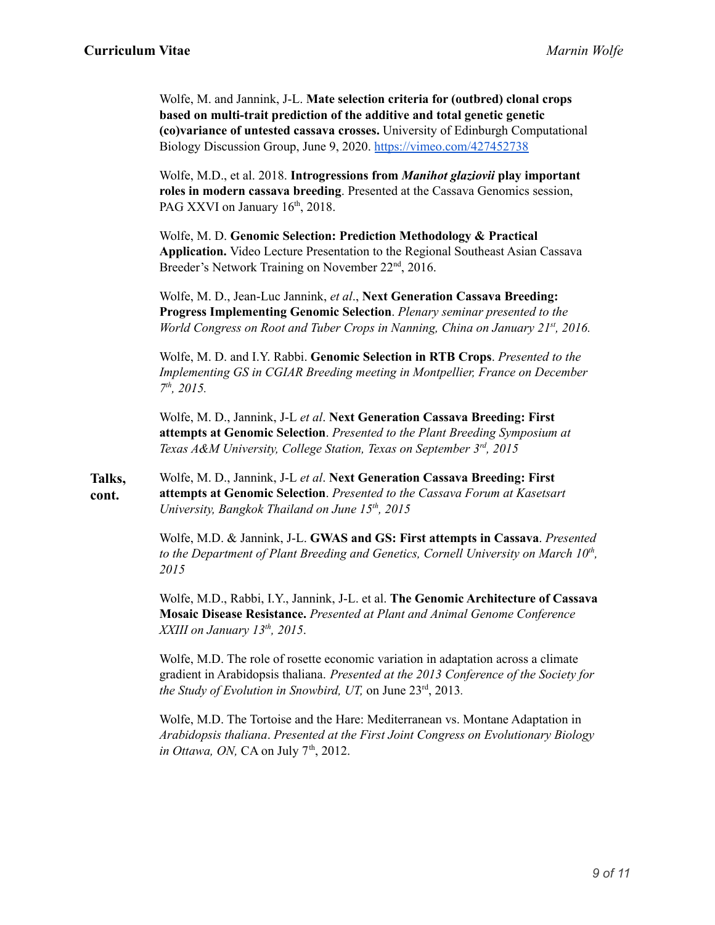Wolfe, M. and Jannink, J-L. **Mate selection criteria for (outbred) clonal crops based on multi-trait prediction of the additive and total genetic genetic (co)variance of untested cassava crosses.** University of Edinburgh Computational Biology Discussion Group, June 9, 2020. <https://vimeo.com/427452738>

Wolfe, M.D., et al. 2018. **Introgressions from** *Manihot glaziovii* **play important roles in modern cassava breeding**. Presented at the Cassava Genomics session, PAG XXVI on January  $16<sup>th</sup>$ , 2018.

Wolfe, M. D. **Genomic Selection: Prediction Methodology & Practical Application.** Video Lecture Presentation to the Regional Southeast Asian Cassava Breeder's Network Training on November 22<sup>nd</sup>, 2016.

Wolfe, M. D., Jean-Luc Jannink, *et al*., **Next Generation Cassava Breeding: Progress Implementing Genomic Selection**. *Plenary seminar presented to the World Congress on Root and Tuber Crops in Nanning, China on January 21 st , 2016.*

Wolfe, M. D. and I.Y. Rabbi. **Genomic Selection in RTB Crops**. *Presented to the Implementing GS in CGIAR Breeding meeting in Montpellier, France on December 7 th , 2015.*

Wolfe, M. D., Jannink, J-L *et al*. **Next Generation Cassava Breeding: First attempts at Genomic Selection**. *Presented to the Plant Breeding Symposium at Texas A&M University, College Station, Texas on September 3 rd , 2015*

**Talks, cont.** Wolfe, M. D., Jannink, J-L *et al*. **Next Generation Cassava Breeding: First attempts at Genomic Selection**. *Presented to the Cassava Forum at Kasetsart University, Bangkok Thailand on June 15 th , 2015*

> Wolfe, M.D. & Jannink, J-L. **GWAS and GS: First attempts in Cassava**. *Presented to the Department of Plant Breeding and Genetics, Cornell University on March 10 th , 2015*

> Wolfe, M.D., Rabbi, I.Y., Jannink, J-L. et al. **The Genomic Architecture of Cassava Mosaic Disease Resistance.** *Presented at Plant and Animal Genome Conference XXIII on January 13 th , 2015*.

> Wolfe, M.D. The role of rosette economic variation in adaptation across a climate gradient in Arabidopsis thaliana. *Presented at the 2013 Conference of the Society for the Study of Evolution in Snowbird, UT,* on June 23 rd , 2013*.*

> Wolfe, M.D. The Tortoise and the Hare: Mediterranean vs. Montane Adaptation in *Arabidopsis thaliana*. *Presented at the First Joint Congress on Evolutionary Biology in Ottawa, ON, CA on July 7<sup>th</sup>, 2012.*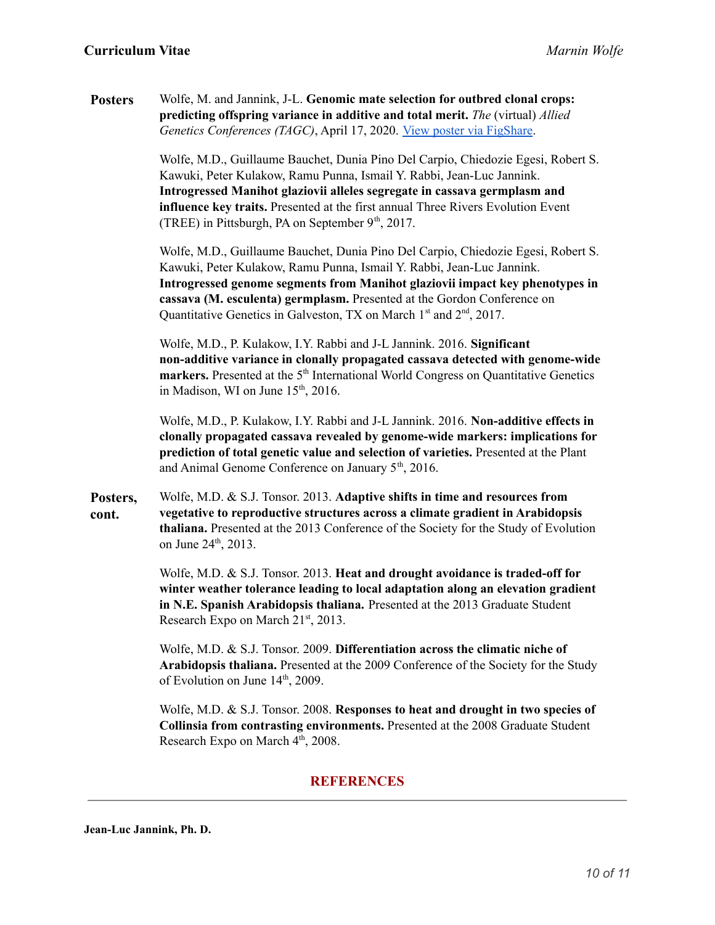**Posters** Wolfe, M. and Jannink, J-L. **Genomic mate selection for outbred clonal crops: predicting offspring variance in additive and total merit.** *The* (virtual) *Allied Genetics Conferences (TAGC)*, April 17, 2020. View poster via [FigShare](https://tagc2020.figshare.com/articles/poster/Genomic_mate_selection_for_clonally_propagated_crops_improving_the_chance_of_breeding_top_ranking_clones_by_predicted_variance_in_total_genetic_merit/12149085/1).

> Wolfe, M.D., Guillaume Bauchet, Dunia Pino Del Carpio, Chiedozie Egesi, Robert S. Kawuki, Peter Kulakow, Ramu Punna, Ismail Y. Rabbi, Jean-Luc Jannink. **Introgressed Manihot glaziovii alleles segregate in cassava germplasm and influence key traits.** Presented at the first annual Three Rivers Evolution Event (TREE) in Pittsburgh, PA on September  $9<sup>th</sup>$ , 2017.

> Wolfe, M.D., Guillaume Bauchet, Dunia Pino Del Carpio, Chiedozie Egesi, Robert S. Kawuki, Peter Kulakow, Ramu Punna, Ismail Y. Rabbi, Jean-Luc Jannink. **Introgressed genome segments from Manihot glaziovii impact key phenotypes in cassava (M. esculenta) germplasm.** Presented at the Gordon Conference on Quantitative Genetics in Galveston, TX on March  $1<sup>st</sup>$  and  $2<sup>nd</sup>$ , 2017.

> Wolfe, M.D., P. Kulakow, I.Y. Rabbi and J-L Jannink. 2016. **Significant non-additive variance in clonally propagated cassava detected with genome-wide** markers. Presented at the 5<sup>th</sup> International World Congress on Quantitative Genetics in Madison, WI on June  $15<sup>th</sup>$ , 2016.

> Wolfe, M.D., P. Kulakow, I.Y. Rabbi and J-L Jannink. 2016. **Non-additive effects in clonally propagated cassava revealed by genome-wide markers: implications for prediction of total genetic value and selection of varieties.** Presented at the Plant and Animal Genome Conference on January 5<sup>th</sup>, 2016.

**Posters, cont.** Wolfe, M.D. & S.J. Tonsor. 2013. **Adaptive shifts in time and resources from vegetative to reproductive structures across a climate gradient in Arabidopsis thaliana.** Presented at the 2013 Conference of the Society for the Study of Evolution on June 24<sup>th</sup>, 2013.

> Wolfe, M.D. & S.J. Tonsor. 2013. **Heat and drought avoidance is traded-off for winter weather tolerance leading to local adaptation along an elevation gradient in N.E. Spanish Arabidopsis thaliana.** Presented at the 2013 Graduate Student Research Expo on March 21<sup>st</sup>, 2013.

> Wolfe, M.D. & S.J. Tonsor. 2009. **Differentiation across the climatic niche of Arabidopsis thaliana.** Presented at the 2009 Conference of the Society for the Study of Evolution on June 14<sup>th</sup>, 2009.

> Wolfe, M.D. & S.J. Tonsor. 2008. **Responses to heat and drought in two species of Collinsia from contrasting environments.** Presented at the 2008 Graduate Student Research Expo on March 4<sup>th</sup>, 2008.

#### **REFERENCES**

**Jean-Luc Jannink, Ph. D.**